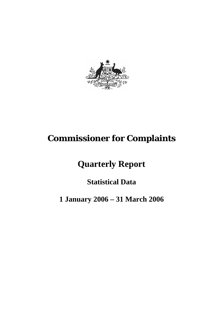

# **Commissioner for Complaints**

# **Quarterly Report**

## **Statistical Data**

## **1 January 2006 – 31 March 2006**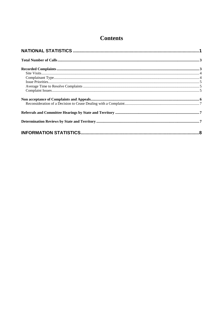## **Contents**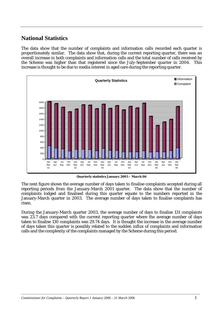### **National Statistics**

The data show that the number of complaints and information calls recorded each quarter is proportionately similar. The data show that, during the current reporting quarter, there was an overall increase in both complaints and information calls and the total number of calls received by the Scheme was higher than that registered since the July-September quarter in 2004. This increase is thought to be due to media interest in aged care during the reporting quarter.



**Quarterly statistics January 2001 – March 06** 

The next figure shows the average number of days taken to finalise complaints accepted during all reporting periods from the January-March 2001 quarter. The data show that the number of complaints lodged and finalised during this quarter equate to the numbers reported in the January-March quarter in 2003. The average number of days taken to finalise complaints has risen.

During the January-March quarter 2003, the average number of days to finalise 131 complaints was 23.7 days compared with the current reporting quarter where the average number of days taken to finalise 130 complaints was 29.74 days. It is thought the increase in the average number of days taken this quarter is possibly related to the sudden influx of complaints and information calls and the complexity of the complaints managed by the Scheme during this period.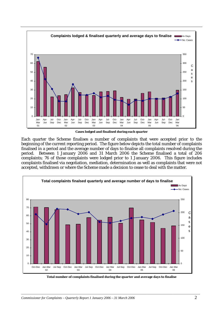

**Cases lodged and finalised during each quarter** 

Each quarter the Scheme finalises a number of complaints that were accepted prior to the beginning of the current reporting period. The figure below depicts the total number of complaints finalised in a period and the average number of days to finalise all complaints resolved during the period. Between 1 January 2006 and 31 March 2006 the Scheme finalised a total of 206 complaints; 76 of those complaints were lodged prior to 1 January 2006. This figure includes complaints finalised via negotiation, mediation, determination as well as complaints that were not accepted, withdrawn or where the Scheme made a decision to cease to deal with the matter.



**Total number of complaints finalised during the quarter and average days to finalise**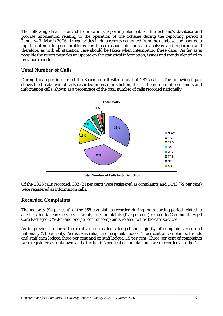The following data is derived from various reporting elements of the Scheme's database and provide information relating to the operation of the Scheme during the reporting period 1 January–31 March 2006. Irregularities in data reports generated from the database and poor data input continue to pose problems for those responsible for data analysis and reporting and therefore, as with all statistics, care should be taken when interpreting these data. As far as is possible the report provides an update on the statistical information, issues and trends identified in previous reports.

#### **Total Number of Calls**

During this reporting period the Scheme dealt with a total of 1,825 calls. The following figure shows the breakdown of calls recorded in each jurisdiction, that is the number of complaints and information calls, shown as a percentage of the total number of calls recorded nationally.



**Total Number of Calls by Jurisdiction**

Of the 1,825 calls recorded, 382 (21 per cent) were registered as complaints and 1,443 (79 per cent) were registered as information calls.

#### **Recorded Complaints**

The majority (94 per cent) of the 358 complaints recorded during the reporting period related to aged residential care services. Twenty-one complaints (five per cent) related to Community Aged Care Packages (CACPs) and one per cent of complaints related to flexible care services.

As in previous reports, the relatives of residents lodged the majority of complaints recorded nationally (71 per cent). Across Australia, care recipients lodged 11 per cent of complaints, friends and staff each lodged three per cent and ex staff lodged 1.5 per cent. Three per cent of complaints were registered as 'unknown' and a further 6.5 per cent of complainants were recorded as 'other'.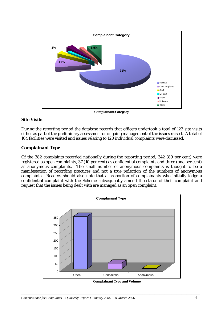

**Complainant Category** 

#### **Site Visits**

During the reporting period the database records that officers undertook a total of 122 site visits either as part of the preliminary assessment or ongoing management of the issues raised.A total of 104 facilities were visited and issues relating to 120 individual complaints were discussed.

#### **Complainant Type**

Of the 382 complaints recorded nationally during the reporting period, 342 (89 per cent) were registered as open complaints, 37 (10 per cent) as confidential complaints and three (one per cent) as anonymous complaints. The small number of anonymous complaints is thought to be a manifestation of recording practices and not a true reflection of the numbers of anonymous complaints. Readers should also note that a proportion of complainants who initially lodge a confidential complaint with the Scheme subsequently amend the status of their complaint and request that the issues being dealt with are managed as an open complaint.



 **Complainant Type and Volume**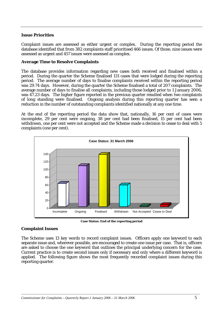#### **Issue Priorities**

Complaint issues are assessed as either urgent or complex. During the reporting period the database identified that from 382 complaints staff prioritised 466 issues. Of those, nine issues were assessed as urgent and 457 issues were assessed as complex.

#### **Average Time to Resolve Complaints**

The database provides information regarding new cases both received and finalised within a period. During the quarter the Scheme finalised 131 cases that were lodged during the reporting period. The average number of days to finalise complaints received within the reporting period was 29.74 days. However, during the quarter the Scheme finalised a total of 207 complaints. The average number of days to finalise all complaints, including those lodged prior to 1 January 2006, was 47.23 days. The higher figure reported in the previous quarter resulted when two complaints of long standing were finalised. Ongoing analysis during this reporting quarter has seen a reduction in the number of outstanding complaints identified nationally at any one time.

At the end of the reporting period the data show that, nationally, 16 per cent of cases were incomplete, 29 per cent were ongoing, 38 per cent had been finalised, 15 per cent had been withdrawn, one per cent were not accepted and the Scheme made a decision to cease to deal with 5 complaints (one per cent).



**Case Status: End of the reporting period** 

#### **Complaint Issues**

The Scheme uses 13 key words to record complaint issues. Officers apply one keyword to each separate issue and, wherever possible, are encouraged to create one issue per case. That is, officers are asked to choose the one keyword that outlines the principal underlying concern for the case. Current practice is to create second issues only if necessary and only where a different keyword is applied. The following figure shows the most frequently recorded complaint issues during this reporting quarter.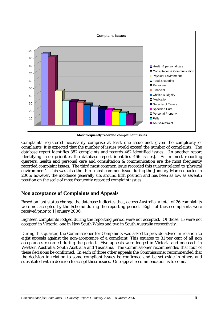

 **Most frequently recorded complainant issues** 

Complaints registered necessarily comprise at least one issue and, given the complexity of complaints, it is expected that the number of issues would exceed the number of complaints. The database report identifies 382 complaints and records 462 identified issues. [In another report identifying issue priorities the database report identifies 466 issues]. As in most reporting quarters, health and personal care and consultation & communication are the most frequently recorded complaint issues. The third most common issue recorded this quarter related to 'physical environment'. This was also the third most common issue during the January-March quarter in 2005; however, the incidence generally sits around fifth position and has been as low as seventh position on the scale of most frequently recorded complaint issues.

#### **Non acceptance of Complaints and Appeals**

Based on *last status change* the database indicates that, across Australia, a total of 26 complaints were not accepted by the Scheme during the reporting period. Eight of these complaints were received prior to 1 January 2006.

Eighteen complaints lodged during the reporting period were not accepted. Of those, 15 were not accepted in Victoria, one in New South Wales and two in South Australia respectively.

During this quarter, the Commissioner for Complaints was asked to provide advice in relation to eight appeals against the non-acceptance of a complaint. This equates to 31 per cent of all non acceptances recorded during the period. Five appeals were lodged in Victoria and one each in Western Australia, South Australia and Tasmania. The Commissioner recommended that four of these decisions be confirmed. In each of three other appeals the Commissioner recommended that the decision in relation to some compliant issues be confirmed and be set aside in others and substituted with a decision to accept those issues. One appeal recommendation is to come.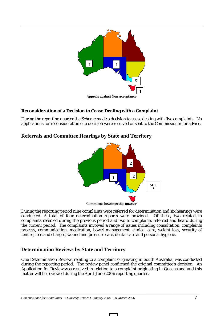

#### **Reconsideration of a Decision to Cease Dealing with a Complaint**

During the reporting quarter the Scheme made a decision to cease dealing with five complaints. No applications for reconsideration of a decision were received or sent to the Commissioner for advice.

#### **Referrals and Committee Hearings by State and Territory**



During the reporting period nine complaints were referred for determination and six hearings were conducted. A total of four determination reports were provided. Of these, two related to complaints referred during the previous period and two to complaints referred and heard during the current period. The complaints involved a range of issues including consultation, complaints process, communication, medication, bowel management, clinical care, weight loss, security of tenure, fees and charges, wound and pressure care, dental care and personal hygiene.

#### **Determination Reviews by State and Territory**

One Determination Review, relating to a complaint originating in South Australia, was conducted during the reporting period. The review panel confirmed the original committee's decision. An Application for Review was received in relation to a complaint originating in Queensland and this matter will be reviewed during the April-June 2006 reporting quarter.